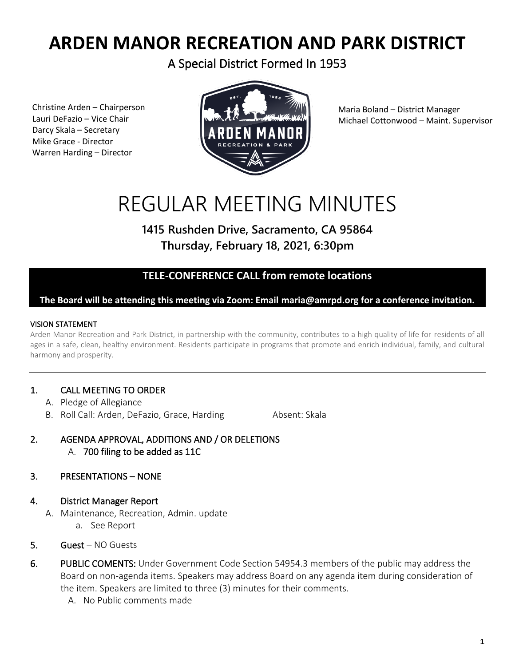## **ARDEN MANOR RECREATION AND PARK DISTRICT**

A Special District Formed In 1953

Christine Arden – Chairperson Lauri DeFazio – Vice Chair Darcy Skala – Secretary Mike Grace - Director Warren Harding – Director



Maria Boland – District Manager Michael Cottonwood – Maint. Supervisor

# REGULAR MEETING MINUTES

### **1415 Rushden Drive, Sacramento, CA 95864 Thursday, February 18, 2021, 6:30pm**

#### **TELE-CONFERENCE CALL from remote locations**

#### **The Board will be attending this meeting via Zoom: Email maria@amrpd.org for a conference invitation.**

#### VISION STATEMENT

Arden Manor Recreation and Park District, in partnership with the community, contributes to a high quality of life for residents of all ages in a safe, clean, healthy environment. Residents participate in programs that promote and enrich individual, family, and cultural harmony and prosperity.

#### 1. CALL MEETING TO ORDER

- A. Pledge of Allegiance
- B. Roll Call: Arden, DeFazio, Grace, Harding Absent: Skala

2. AGENDA APPROVAL, ADDITIONS AND / OR DELETIONS A. 700 filing to be added as 11C

#### 3. PRESENTATIONS – NONE

- 4. District Manager Report
	- A. Maintenance, Recreation, Admin. update a. See Report
- 5. Guest NO Guests
- 6. PUBLIC COMENTS: Under Government Code Section 54954.3 members of the public may address the Board on non-agenda items. Speakers may address Board on any agenda item during consideration of the item. Speakers are limited to three (3) minutes for their comments.
	- A. No Public comments made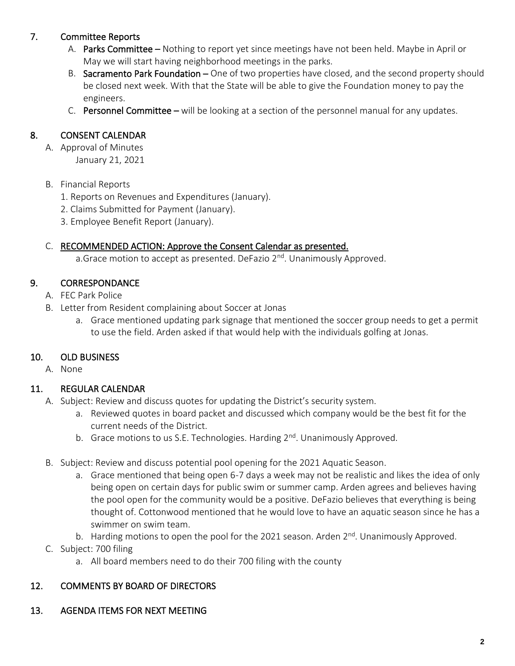#### 7. Committee Reports

- A. Parks Committee Nothing to report yet since meetings have not been held. Maybe in April or May we will start having neighborhood meetings in the parks.
- B. Sacramento Park Foundation One of two properties have closed, and the second property should be closed next week. With that the State will be able to give the Foundation money to pay the engineers.
- C. Personnel Committee will be looking at a section of the personnel manual for any updates.

#### 8. CONSENT CALENDAR

- A. Approval of Minutes January 21, 2021
- B. Financial Reports
	- 1. Reports on Revenues and Expenditures (January).
	- 2. Claims Submitted for Payment (January).
	- 3. Employee Benefit Report (January).

#### C. RECOMMENDED ACTION: Approve the Consent Calendar as presented.

a.Grace motion to accept as presented. DeFazio 2<sup>nd</sup>. Unanimously Approved.

#### 9. CORRESPONDANCE

- A. FEC Park Police
- B. Letter from Resident complaining about Soccer at Jonas
	- a. Grace mentioned updating park signage that mentioned the soccer group needs to get a permit to use the field. Arden asked if that would help with the individuals golfing at Jonas.

#### 10. OLD BUSINESS

A. None

#### 11. REGULAR CALENDAR

- A. Subject: Review and discuss quotes for updating the District's security system.
	- a. Reviewed quotes in board packet and discussed which company would be the best fit for the current needs of the District.
	- b. Grace motions to us S.E. Technologies. Harding 2<sup>nd</sup>. Unanimously Approved.
- B. Subject: Review and discuss potential pool opening for the 2021 Aquatic Season.
	- a. Grace mentioned that being open 6-7 days a week may not be realistic and likes the idea of only being open on certain days for public swim or summer camp. Arden agrees and believes having the pool open for the community would be a positive. DeFazio believes that everything is being thought of. Cottonwood mentioned that he would love to have an aquatic season since he has a swimmer on swim team.
	- b. Harding motions to open the pool for the 2021 season. Arden 2<sup>nd</sup>. Unanimously Approved.
- C. Subject: 700 filing
	- a. All board members need to do their 700 filing with the county

#### 12. COMMENTS BY BOARD OF DIRECTORS

13. AGENDA ITEMS FOR NEXT MEETING